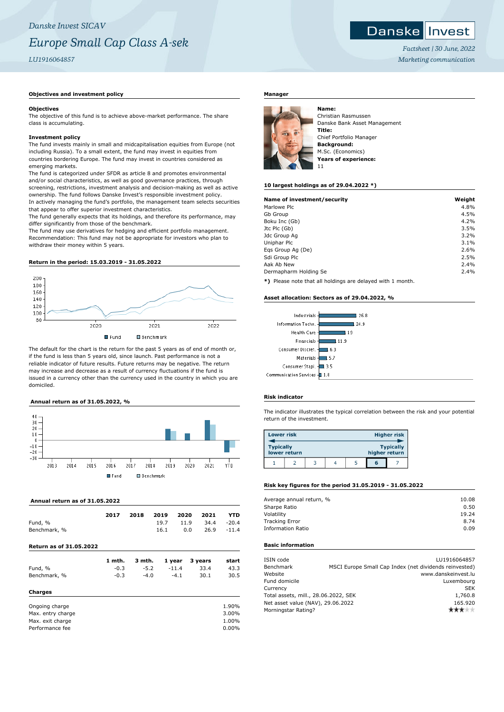# **Objectives and investment policy**

#### **Objectives**

The objective of this fund is to achieve above-market performance. The share class is accumulating.

#### **Investment policy**

The fund invests mainly in small and midcapitalisation equities from Europe (not including Russia). To a small extent, the fund may invest in equities from countries bordering Europe. The fund may invest in countries considered as emerging markets.

The fund is categorized under SFDR as article 8 and promotes environmental and/or social characteristics, as well as good governance practices, through screening, restrictions, investment analysis and decision-making as well as active ownership. The fund follows Danske Invest's responsible investment policy. In actively managing the fund's portfolio, the management team selects securities that appear to offer superior investment characteristics.

The fund generally expects that its holdings, and therefore its performance, may differ significantly from those of the benchmark.

The fund may use derivatives for hedging and efficient portfolio management. Recommendation: This fund may not be appropriate for investors who plan to withdraw their money within 5 years.

#### **Return in the period: 15.03.2019 - 31.05.2022**



The default for the chart is the return for the past 5 years as of end of month or, if the fund is less than 5 years old, since launch. Past performance is not a reliable indicator of future results. Future returns may be negative. The return may increase and decrease as a result of currency fluctuations if the fund is issued in a currency other than the currency used in the country in which you are domiciled.

# **Annual return as of 31.05.2022, %**



## **Annual return as of 31.05.2022**

| Fund, %<br>Benchmark, %        | 2017   | 2018   | 2019<br>19.7<br>16.1 | 2020<br>11.9<br>0.0 | 2021<br>34.4<br>26.9 | <b>YTD</b><br>$-20.4$<br>$-11.4$ |
|--------------------------------|--------|--------|----------------------|---------------------|----------------------|----------------------------------|
| <b>Return as of 31.05.2022</b> |        |        |                      |                     |                      |                                  |
|                                | 1 mth. | 3 mth. |                      | 1 year              | 3 years              | start                            |
| Fund, %                        | $-0.3$ | $-5.2$ |                      | $-11.4$             | 33.4                 | 43.3                             |
| Benchmark, %                   | $-0.3$ | $-4.0$ |                      | $-4.1$              | 30.1                 | 30.5                             |
| <b>Charges</b>                 |        |        |                      |                     |                      |                                  |
| Ongoing charge                 |        |        |                      |                     |                      | 1.90%                            |
| Max. entry charge              |        |        |                      |                     |                      | 3.00%                            |
| Max. exit charge               |        |        |                      |                     |                      | 1.00%                            |
| Performance fee                |        |        |                      |                     |                      | $0.00\%$                         |

# **Manager**



Christian Rasmussen Danske Bank Asset Management **Title:** Chief Portfolio Manager **Background:** M.Sc. (Economics) **Years of experience:** 11

#### **10 largest holdings as of 29.04.2022 \*)**

| Name of investment/security | Weight |
|-----------------------------|--------|
| Marlowe Plc                 | 4.8%   |
| Gb Group                    | 4.5%   |
| Boku Inc (Gb)               | 4.2%   |
| Jtc Plc (Gb)                | 3.5%   |
| Jdc Group Ag                | 3.2%   |
| Uniphar Plc                 | 3.1%   |
| Egs Group Ag (De)           | 2.6%   |
| Sdi Group Plc               | 2.5%   |
| Aak Ab New                  | 2.4%   |
| Dermapharm Holding Se       | 2.4%   |

**\*)** Please note that all holdings are delayed with 1 month.

#### **Asset allocation: Sectors as of 29.04.2022, %**



## **Risk indicator**

The indicator illustrates the typical correlation between the risk and your potential return of the investment.

| <b>Lower risk</b> |              |  |               | <b>Higher risk</b> |
|-------------------|--------------|--|---------------|--------------------|
| <b>Typically</b>  | lower return |  | higher return | <b>Typically</b>   |
|                   |              |  | G             |                    |

# **Risk key figures for the period 31.05.2019 - 31.05.2022**

| Average annual return, % | 10.08 |
|--------------------------|-------|
| Sharpe Ratio             | 0.50  |
| Volatility               | 19.24 |
| <b>Tracking Error</b>    | 8.74  |
| <b>Information Ratio</b> | 0.09  |
|                          |       |

# **Basic information**

| ISIN code<br>Benchmark               |  | LU1916064857<br>MSCI Europe Small Cap Index (net dividends reinvested) |
|--------------------------------------|--|------------------------------------------------------------------------|
| Website                              |  | www.danskeinvest.lu                                                    |
| Fund domicile                        |  | Luxembourg                                                             |
| Currency                             |  | <b>SEK</b>                                                             |
| Total assets, mill., 28.06.2022, SEK |  | 1,760.8                                                                |
| Net asset value (NAV), 29.06.2022    |  | 165.920                                                                |
| Morningstar Rating?                  |  |                                                                        |
|                                      |  |                                                                        |

*Factsheet | 30 June, 2022 Marketing communication*